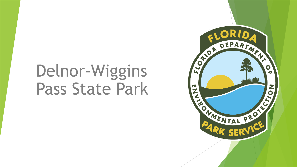# Delnor-Wiggins Pass State Park

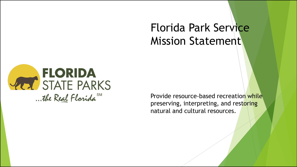#### Florida Park Service Mission Statement



Provide resource-based recreation while preserving, interpreting, and restoring natural and cultural resources.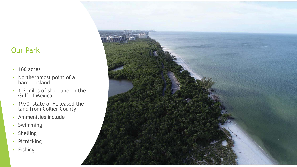#### Our Park

- 166 acres
- Northernmost point of a barrier island
- 1.2 miles of shoreline on the Gulf of Mexico
- 1970: state of FL leased the land from Collier County
- Ammenities include
- Swimming
- Shelling
- Picnicking
- Fishing

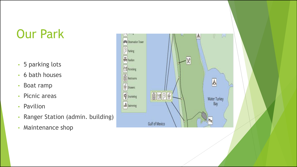#### Our Park

- 5 parking lots
- 6 bath houses
- Boat ramp
- Picnic areas
- Pavilion
- Ranger Station (admin. building)
- Maintenance shop

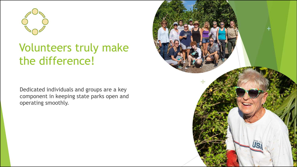

#### Volunteers truly make the difference!

Dedicated individuals and groups are a key component in keeping state parks open and operating smoothly.

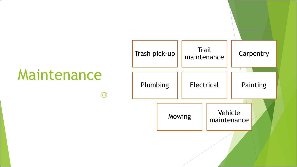# Maintenance

 $\bigoplus$ 

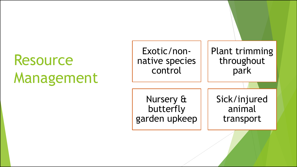## Resource Management

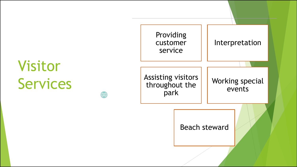# Visitor Services



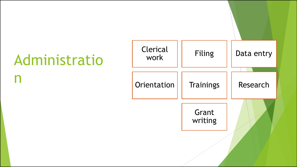# Administratio

n

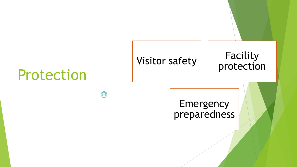### Protection

 $\bigoplus$ 

# Visitor safety | Facility

# protection

**Emergency** preparedness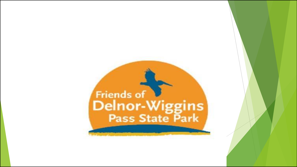# Friends of<br>Delnor-Wiggins<br>Pass State Park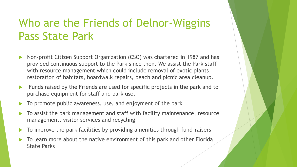#### Who are the Friends of Delnor-Wiggins Pass State Park

- Non-profit Citizen Support Organization (CSO) was chartered in 1987 and has provided continuous support to the Park since then. We assist the Park staff with resource management which could include removal of exotic plants, restoration of habitats, boardwalk repairs, beach and picnic area cleanup.
- Funds raised by the Friends are used for specific projects in the park and to purchase equipment for staff and park use.
- To promote public awareness, use, and enjoyment of the park
- To assist the park management and staff with facility maintenance, resource management, visitor services and recycling
- To improve the park facilities by providing amenities through fund-raisers
- To learn more about the native environment of this park and other Florida State Parks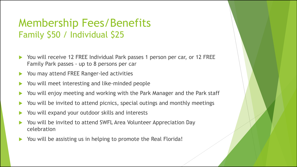#### Membership Fees/Benefits Family \$50 / Individual \$25

- You will receive 12 FREE Individual Park passes 1 person per car, or 12 FREE Family Park passes - up to 8 persons per car
- You may attend FREE Ranger-led activities
- You will meet interesting and like-minded people
- You will enjoy meeting and working with the Park Manager and the Park staff
- You will be invited to attend picnics, special outings and monthly meetings
- You will expand your outdoor skills and interests
- You will be invited to attend SWFL Area Volunteer Appreciation Day celebration
- You will be assisting us in helping to promote the Real Florida!